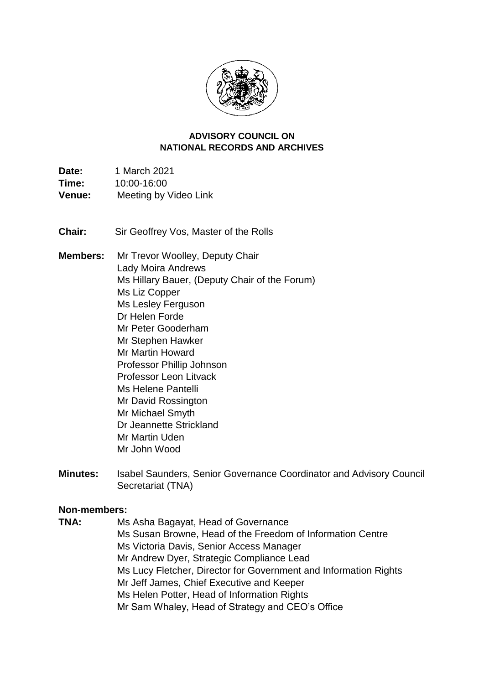

#### **NATIONAL RECORDS AND ARCHIVES ADVISORY COUNCIL ON**

Time: **Date:** 1 March 2021 **Time:** 10:00-16:00 **Venue:** Meeting by Video Link

**Chair:** Sir Geoffrey Vos, Master of the Rolls

**Members:** Mr Trevor Woolley, Deputy Chair Lady Moira Andrews Ms Hillary Bauer, (Deputy Chair of the Forum) Ms Liz Copper Ms Lesley Ferguson Dr Helen Forde Mr Peter Gooderham Mr Stephen Hawker Mr Martin Howard Professor Phillip Johnson Professor Leon Litvack Ms Helene Pantelli Mr David Rossington Mr Michael Smyth Dr Jeannette Strickland Mr Martin Uden Mr John Wood

**Minutes:** Isabel Saunders, Senior Governance Coordinator and Advisory Council Secretariat (TNA)

### **Non-members:**

**TNA:** Ms Asha Bagayat, Head of Governance Ms Susan Browne, Head of the Freedom of Information Centre Ms Victoria Davis, Senior Access Manager Mr Andrew Dyer, Strategic Compliance Lead Ms Lucy Fletcher, Director for Government and Information Rights Mr Jeff James, Chief Executive and Keeper Ms Helen Potter, Head of Information Rights Mr Sam Whaley, Head of Strategy and CEO's Office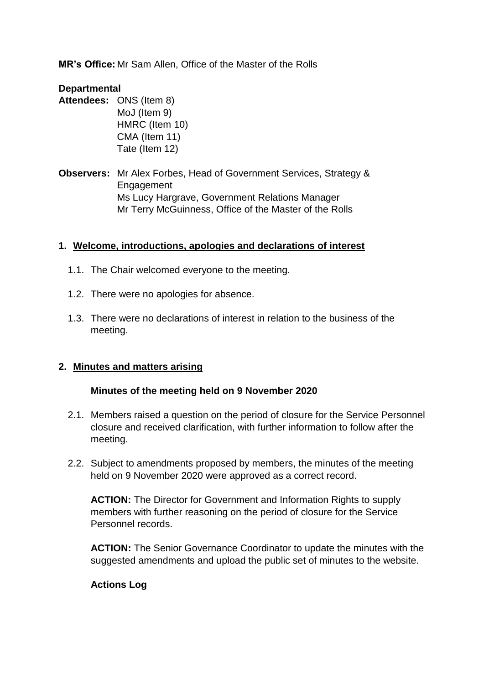**MR's Office:** Mr Sam Allen, Office of the Master of the Rolls

### **Departmental**

- **Attendees:** ONS (Item 8) MoJ (Item 9) HMRC (Item 10) CMA (Item 11) Tate (Item 12)
- **Observers:** Mr Alex Forbes, Head of Government Services, Strategy & Engagement Ms Lucy Hargrave, Government Relations Manager Mr Terry McGuinness, Office of the Master of the Rolls

# **1. Welcome, introductions, apologies and declarations of interest**

- 1.1. The Chair welcomed everyone to the meeting.
- 1.2. There were no apologies for absence.
- 1.3. There were no declarations of interest in relation to the business of the meeting.

# **2. Minutes and matters arising**

### **Minutes of the meeting held on 9 November 2020**

- 2.1. Members raised a question on the period of closure for the Service Personnel closure and received clarification, with further information to follow after the meeting.
- 2.2. Subject to amendments proposed by members, the minutes of the meeting held on 9 November 2020 were approved as a correct record.

**ACTION:** The Director for Government and Information Rights to supply members with further reasoning on the period of closure for the Service Personnel records.

**ACTION:** The Senior Governance Coordinator to update the minutes with the suggested amendments and upload the public set of minutes to the website.

### **Actions Log**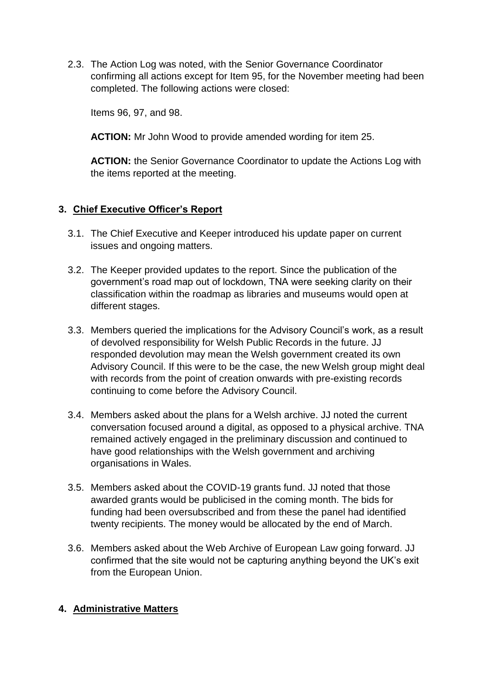confirming all actions except for Item 95, for the November meeting had been 2.3. The Action Log was noted, with the Senior Governance Coordinator completed. The following actions were closed:

Items 96, 97, and 98.

**ACTION:** Mr John Wood to provide amended wording for item 25.

 the items reported at the meeting. **ACTION:** the Senior Governance Coordinator to update the Actions Log with

# **3. Chief Executive Officer's Report**

- 3.1. The Chief Executive and Keeper introduced his update paper on current issues and ongoing matters.
- 3.2. The Keeper provided updates to the report. Since the publication of the government's road map out of lockdown, TNA were seeking clarity on their classification within the roadmap as libraries and museums would open at different stages.
- responded devolution may mean the Welsh government created its own Advisory Council. If this were to be the case, the new Welsh group might deal 3.3. Members queried the implications for the Advisory Council's work, as a result of devolved responsibility for Welsh Public Records in the future. JJ with records from the point of creation onwards with pre-existing records continuing to come before the Advisory Council.
- 3.4. Members asked about the plans for a Welsh archive. JJ noted the current conversation focused around a digital, as opposed to a physical archive. TNA remained actively engaged in the preliminary discussion and continued to have good relationships with the Welsh government and archiving organisations in Wales.
- funding had been oversubscribed and from these the panel had identified twenty recipients. The money would be allocated by the end of March. 3.5. Members asked about the COVID-19 grants fund. JJ noted that those awarded grants would be publicised in the coming month. The bids for
- confirmed that the site would not be capturing anything beyond the UK's exit 3.6. Members asked about the Web Archive of European Law going forward. JJ from the European Union.

### **4. Administrative Matters**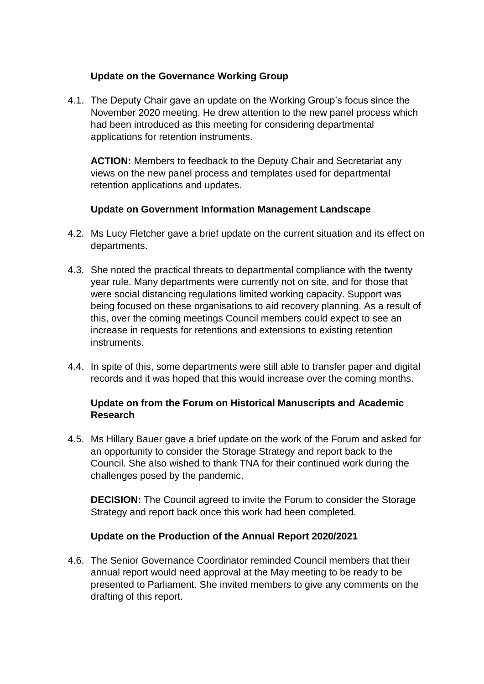# **Update on the Governance Working Group**

4.1. The Deputy Chair gave an update on the Working Group's focus since the November 2020 meeting. He drew attention to the new panel process which had been introduced as this meeting for considering departmental applications for retention instruments.

**ACTION:** Members to feedback to the Deputy Chair and Secretariat any views on the new panel process and templates used for departmental retention applications and updates.

# **Update on Government Information Management Landscape**

- 4.2. Ms Lucy Fletcher gave a brief update on the current situation and its effect on departments.
- 4.3. She noted the practical threats to departmental compliance with the twenty being focused on these organisations to aid recovery planning. As a result of year rule. Many departments were currently not on site, and for those that were social distancing regulations limited working capacity. Support was this, over the coming meetings Council members could expect to see an increase in requests for retentions and extensions to existing retention instruments.
- 4.4. In spite of this, some departments were still able to transfer paper and digital records and it was hoped that this would increase over the coming months.

# **Update on from the Forum on Historical Manuscripts and Academic Research**

4.5. Ms Hillary Bauer gave a brief update on the work of the Forum and asked for an opportunity to consider the Storage Strategy and report back to the Council. She also wished to thank TNA for their continued work during the challenges posed by the pandemic.

 **DECISION:** The Council agreed to invite the Forum to consider the Storage Strategy and report back once this work had been completed.

# **Update on the Production of the Annual Report 2020/2021**

 presented to Parliament. She invited members to give any comments on the 4.6. The Senior Governance Coordinator reminded Council members that their annual report would need approval at the May meeting to be ready to be drafting of this report.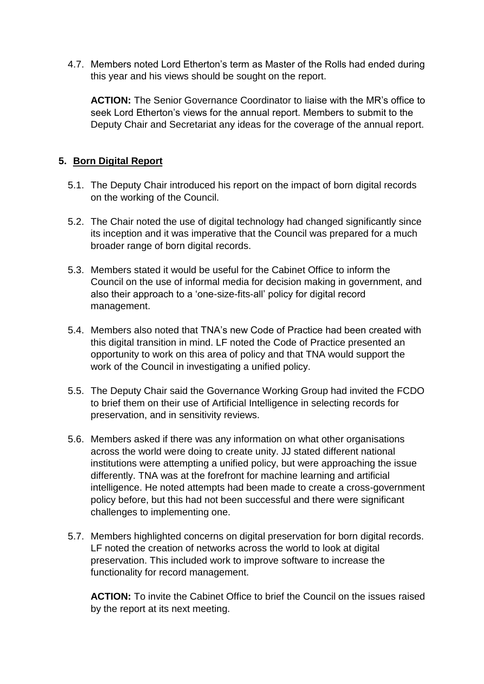4.7. Members noted Lord Etherton's term as Master of the Rolls had ended during this year and his views should be sought on the report.

**ACTION:** The Senior Governance Coordinator to liaise with the MR's office to seek Lord Etherton's views for the annual report. Members to submit to the Deputy Chair and Secretariat any ideas for the coverage of the annual report.

# **5. Born Digital Report**

- 5.1. The Deputy Chair introduced his report on the impact of born digital records on the working of the Council.
- 5.2. The Chair noted the use of digital technology had changed significantly since its inception and it was imperative that the Council was prepared for a much broader range of born digital records.
- 5.3. Members stated it would be useful for the Cabinet Office to inform the Council on the use of informal media for decision making in government, and also their approach to a 'one-size-fits-all' policy for digital record management.
- opportunity to work on this area of policy and that TNA would support the 5.4. Members also noted that TNA's new Code of Practice had been created with this digital transition in mind. LF noted the Code of Practice presented an work of the Council in investigating a unified policy.
- to brief them on their use of Artificial Intelligence in selecting records for 5.5. The Deputy Chair said the Governance Working Group had invited the FCDO preservation, and in sensitivity reviews.
- 5.6. Members asked if there was any information on what other organisations across the world were doing to create unity. JJ stated different national institutions were attempting a unified policy, but were approaching the issue differently. TNA was at the forefront for machine learning and artificial intelligence. He noted attempts had been made to create a cross-government policy before, but this had not been successful and there were significant challenges to implementing one.
- 5.7. Members highlighted concerns on digital preservation for born digital records. LF noted the creation of networks across the world to look at digital preservation. This included work to improve software to increase the functionality for record management.

**ACTION:** To invite the Cabinet Office to brief the Council on the issues raised by the report at its next meeting.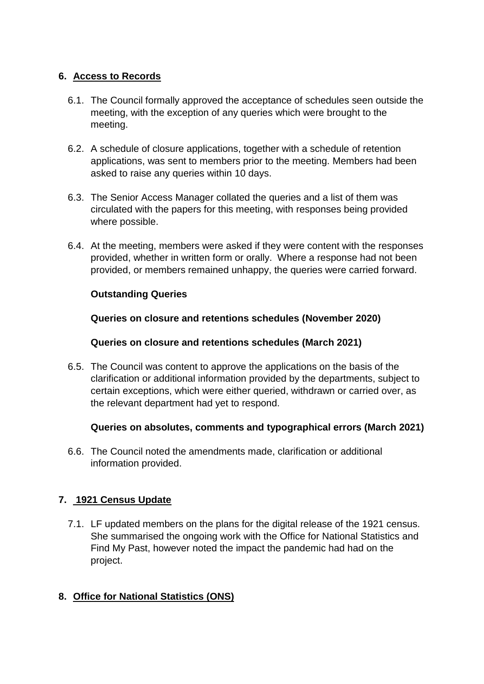# **6. Access to Records**

- 6.1. The Council formally approved the acceptance of schedules seen outside the meeting, with the exception of any queries which were brought to the meeting.
- 6.2. A schedule of closure applications, together with a schedule of retention applications, was sent to members prior to the meeting. Members had been asked to raise any queries within 10 days.
- 6.3. The Senior Access Manager collated the queries and a list of them was circulated with the papers for this meeting, with responses being provided where possible.
- 6.4. At the meeting, members were asked if they were content with the responses provided, whether in written form or orally. Where a response had not been provided, or members remained unhappy, the queries were carried forward.

# **Outstanding Queries**

**Queries on closure and retentions schedules (November 2020)** 

# **Queries on closure and retentions schedules (March 2021)**

 6.5. The Council was content to approve the applications on the basis of the clarification or additional information provided by the departments, subject to certain exceptions, which were either queried, withdrawn or carried over, as the relevant department had yet to respond.

# **Queries on absolutes, comments and typographical errors (March 2021)**

6.6. The Council noted the amendments made, clarification or additional information provided.

# **7. 1921 Census Update**

7.1. LF updated members on the plans for the digital release of the 1921 census. She summarised the ongoing work with the Office for National Statistics and Find My Past, however noted the impact the pandemic had had on the project.

# **8. Office for National Statistics (ONS)**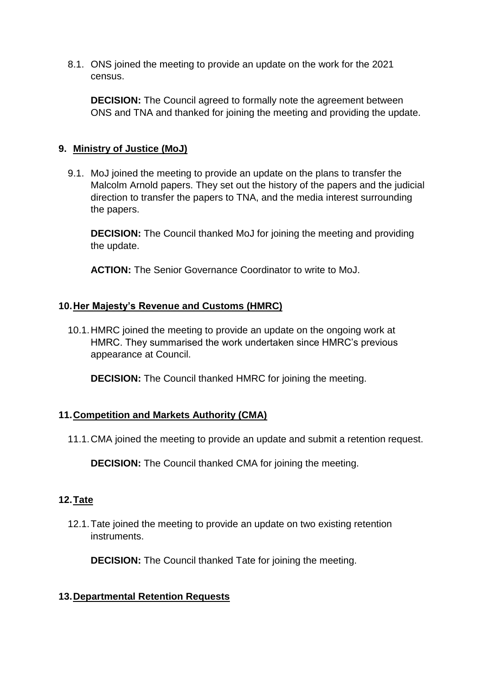8.1. ONS joined the meeting to provide an update on the work for the 2021 census.

 ONS and TNA and thanked for joining the meeting and providing the update. **DECISION:** The Council agreed to formally note the agreement between

# **9. Ministry of Justice (MoJ)**

 9.1. MoJ joined the meeting to provide an update on the plans to transfer the Malcolm Arnold papers. They set out the history of the papers and the judicial direction to transfer the papers to TNA, and the media interest surrounding the papers.

**DECISION:** The Council thanked MoJ for joining the meeting and providing the update.

**ACTION:** The Senior Governance Coordinator to write to MoJ.

### **10.Her Majesty's Revenue and Customs (HMRC)**

10.1.HMRC joined the meeting to provide an update on the ongoing work at HMRC. They summarised the work undertaken since HMRC's previous appearance at Council.

**DECISION:** The Council thanked HMRC for joining the meeting.

# **11.Competition and Markets Authority (CMA)**

11.1.CMA joined the meeting to provide an update and submit a retention request.

**DECISION:** The Council thanked CMA for joining the meeting.

### **12.Tate**

12.1.Tate joined the meeting to provide an update on two existing retention instruments.

**DECISION:** The Council thanked Tate for joining the meeting.

# **13.Departmental Retention Requests**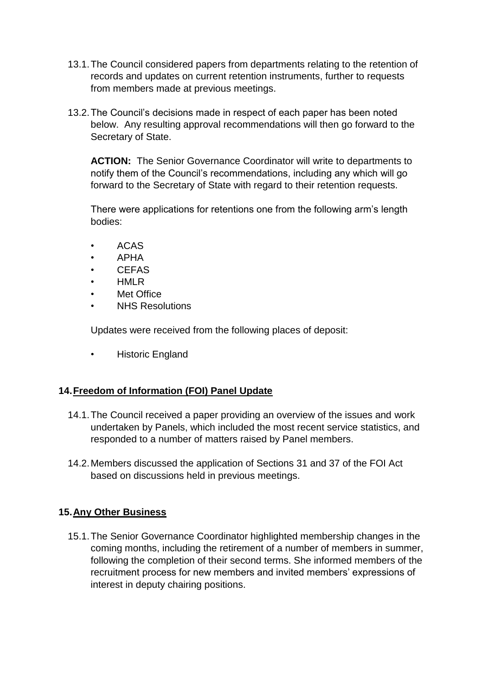- 13.1.The Council considered papers from departments relating to the retention of records and updates on current retention instruments, further to requests from members made at previous meetings.
- below. Any resulting approval recommendations will then go forward to the 13.2.The Council's decisions made in respect of each paper has been noted Secretary of State.

 **ACTION:** The Senior Governance Coordinator will write to departments to notify them of the Council's recommendations, including any which will go forward to the Secretary of State with regard to their retention requests.

 There were applications for retentions one from the following arm's length bodies:

- ACAS
- APHA
- CEFAS
- HMLR
- Met Office
- NHS Resolutions

Updates were received from the following places of deposit:

• Historic England

# **14.Freedom of Information (FOI) Panel Update**

- 14.1.The Council received a paper providing an overview of the issues and work undertaken by Panels, which included the most recent service statistics, and responded to a number of matters raised by Panel members.
- 14.2.Members discussed the application of Sections 31 and 37 of the FOI Act based on discussions held in previous meetings.

# **15.Any Other Business**

 coming months, including the retirement of a number of members in summer, recruitment process for new members and invited members' expressions of 15.1.The Senior Governance Coordinator highlighted membership changes in the following the completion of their second terms. She informed members of the interest in deputy chairing positions.